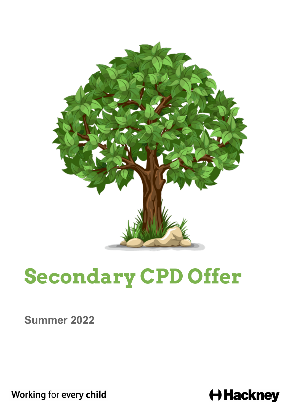

# **Secondary CPD Offer**

**Summer 2022**

Working for every child

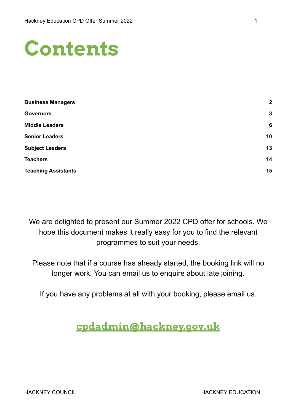

| $\overline{2}$ |
|----------------|
| 3              |
| 6              |
| 10             |
| 13             |
| 14             |
| 15             |
|                |

We are delighted to present our Summer 2022 CPD offer for schools. We hope this document makes it really easy for you to find the relevant programmes to suit your needs.

Please note that if a course has already started, the booking link will no longer work. You can email us to enquire about late joining.

If you have any problems at all with your booking, please email us.

#### **[cpdadmin@hackney.gov.uk](mailto:cpdadmin@hackney.gov.uk)**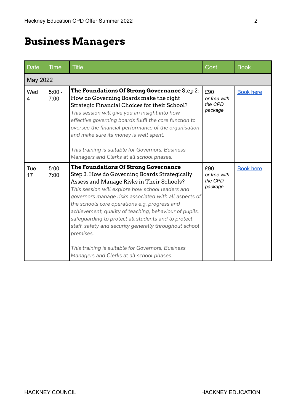## <span id="page-2-0"></span>**Business Managers**

| <b>Date</b> | <b>Time</b>      | <b>Title</b>                                                                                                                                                                                                                                                                                                                                                                                                                                                                                                                                                                                      | Cost                                      | <b>Book</b>      |
|-------------|------------------|---------------------------------------------------------------------------------------------------------------------------------------------------------------------------------------------------------------------------------------------------------------------------------------------------------------------------------------------------------------------------------------------------------------------------------------------------------------------------------------------------------------------------------------------------------------------------------------------------|-------------------------------------------|------------------|
| May 2022    |                  |                                                                                                                                                                                                                                                                                                                                                                                                                                                                                                                                                                                                   |                                           |                  |
| Wed<br>4    | $5:00 -$<br>7:00 | The Foundations Of Strong Governance Step 2:<br>How do Governing Boards make the right<br>Strategic Financial Choices for their School?<br>This session will give you an insight into how<br>effective governing boards fulfil the core function to<br>oversee the financial performance of the organisation<br>and make sure its money is well spent.<br>This training is suitable for Governors, Business<br>Managers and Clerks at all school phases.                                                                                                                                          | £90<br>or free with<br>the CPD<br>package | <b>Book here</b> |
| Tue<br>17   | $5:00 -$<br>7:00 | <b>The Foundations Of Strong Governance</b><br>Step 3. How do Governing Boards Strategically<br>Assess and Manage Risks in Their Schools?<br>This session will explore how school leaders and<br>governors manage risks associated with all aspects of<br>the schools core operations e.g. progress and<br>achievement, quality of teaching, behaviour of pupils,<br>safeguarding to protect all students and to protect<br>staff, safety and security generally throughout school<br>premises.<br>This training is suitable for Governors, Business<br>Managers and Clerks at all school phases. | £90<br>or free with<br>the CPD<br>package | <b>Book here</b> |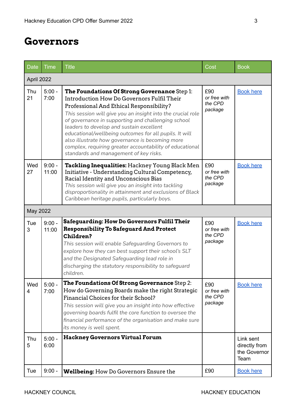#### <span id="page-3-0"></span>**Governors**

| <b>Date</b> | <b>Time</b>       | <b>Title</b>                                                                                                                                                                                                                                                                                                                                                                                                                                                                                                               | Cost                                      | <b>Book</b>                                        |
|-------------|-------------------|----------------------------------------------------------------------------------------------------------------------------------------------------------------------------------------------------------------------------------------------------------------------------------------------------------------------------------------------------------------------------------------------------------------------------------------------------------------------------------------------------------------------------|-------------------------------------------|----------------------------------------------------|
| April 2022  |                   |                                                                                                                                                                                                                                                                                                                                                                                                                                                                                                                            |                                           |                                                    |
| Thu<br>21   | $5:00 -$<br>7:00  | The Foundations Of Strong Governance Step 1:<br>Introduction How Do Governors Fulfil Their<br>Professional And Ethical Responsibility?<br>This session will give you an insight into the crucial role<br>of governance in supporting and challenging school<br>leaders to develop and sustain excellent<br>educational/wellbeing outcomes for all pupils. It will<br>also illustrate how governance is becoming more<br>complex, requiring greater accountability of educational<br>standards and management of key risks. | £90<br>or free with<br>the CPD<br>package | <b>Book here</b>                                   |
| Wed<br>27   | $9:00 -$<br>11:00 | Tackling Inequalities: Hackney Young Black Men<br>Initiative - Understanding Cultural Competency,<br>Racial Identity and Unconscious Bias<br>This session will give you an insight into tackling<br>disproportionality in attainment and exclusions of Black<br>Caribbean heritage pupils, particularly boys.                                                                                                                                                                                                              | £90<br>or free with<br>the CPD<br>package | <b>Book here</b>                                   |
| May 2022    |                   |                                                                                                                                                                                                                                                                                                                                                                                                                                                                                                                            |                                           |                                                    |
| Tue<br>3    | $9:00 -$<br>11:00 | <b>Safeguarding: How Do Governors Fulfil Their</b><br><b>Responsibility To Safeguard And Protect</b><br>Children?<br>This session will enable Safeguarding Governors to<br>explore how they can best support their school's SLT<br>and the Designated Safeguarding lead role in<br>discharging the statutory responsibility to safeguard<br>children.                                                                                                                                                                      | £90<br>or free with<br>the CPD<br>package | <b>Book here</b>                                   |
| Wed<br>4    | $5:00 -$<br>7:00  | The Foundations Of Strong Governance Step 2:<br>How do Governing Boards make the right Strategic<br>Financial Choices for their School?<br>This session will give you an insight into how effective<br>governing boards fulfil the core function to oversee the<br>financial performance of the organisation and make sure<br>its money is well spent.                                                                                                                                                                     | £90<br>or free with<br>the CPD<br>package | <b>Book here</b>                                   |
| Thu<br>5    | $5:00 -$<br>6:00  | <b>Hackney Governors Virtual Forum</b>                                                                                                                                                                                                                                                                                                                                                                                                                                                                                     |                                           | Link sent<br>directly from<br>the Governor<br>Team |
| Tue         | $9:00 -$          | <b>Wellbeing:</b> How Do Governors Ensure the                                                                                                                                                                                                                                                                                                                                                                                                                                                                              | £90                                       | <b>Book here</b>                                   |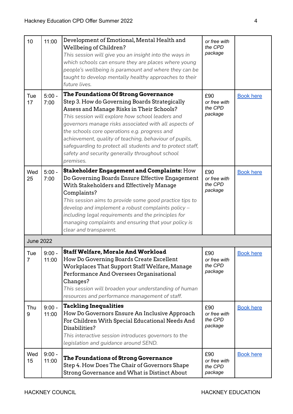| 10                    | 11:00             | Development of Emotional, Mental Health and<br>Wellbeing of Children?<br>This session will give you an insight into the ways in<br>which schools can ensure they are places where young<br>people's wellbeing is paramount and where they can be<br>taught to develop mentally healthy approaches to their<br>future lives.                                                                                                                                                              | or free with<br>the CPD<br>package        |                  |
|-----------------------|-------------------|------------------------------------------------------------------------------------------------------------------------------------------------------------------------------------------------------------------------------------------------------------------------------------------------------------------------------------------------------------------------------------------------------------------------------------------------------------------------------------------|-------------------------------------------|------------------|
| Tue<br>17             | $5:00 -$<br>7:00  | The Foundations Of Strong Governance<br>Step 3. How do Governing Boards Strategically<br>Assess and Manage Risks in Their Schools?<br>This session will explore how school leaders and<br>governors manage risks associated with all aspects of<br>the schools core operations e.g. progress and<br>achievement, quality of teaching, behaviour of pupils,<br>safeguarding to protect all students and to protect staff,<br>safety and security generally throughout school<br>premises. | £90<br>or free with<br>the CPD<br>package | <b>Book here</b> |
| Wed<br>25             | $5:00 -$<br>7:00  | <b>Stakeholder Engagement and Complaints: How</b><br>Do Governing Boards Ensure Effective Engagement<br>With Stakeholders and Effectively Manage<br>Complaints?<br>This session aims to provide some good practice tips to<br>develop and implement a robust complaints policy -<br>including legal requirements and the principles for<br>managing complaints and ensuring that your policy is<br>clear and transparent.                                                                | £90<br>or free with<br>the CPD<br>package | <b>Book here</b> |
| <b>June 2022</b>      |                   |                                                                                                                                                                                                                                                                                                                                                                                                                                                                                          |                                           |                  |
| Tue<br>$\overline{7}$ | $9:00 -$<br>11:00 | <b>Staff Welfare, Morale And Workload</b><br>How Do Governing Boards Create Excellent<br>Workplaces That Support Staff Welfare, Manage<br>Performance And Oversees Organisational<br>Changes?<br>This session will broaden your understanding of human<br>resources and performance management of staff.                                                                                                                                                                                 | £90<br>or free with<br>the CPD<br>package | <b>Book here</b> |
| Thu<br>9              | $9:00 -$<br>11:00 | <b>Tackling Inequalities</b><br>How Do Governors Ensure An Inclusive Approach<br>For Children With Special Educational Needs And<br>Disabilities?<br>This interactive session introduces governors to the<br>legislation and guidance around SEND.                                                                                                                                                                                                                                       | £90<br>or free with<br>the CPD<br>package | <b>Book here</b> |
| Wed<br>15             | $9:00 -$<br>11:00 | The Foundations of Strong Governance<br>Step 4. How Does The Chair of Governors Shape<br>Strong Governance and What is Distinct About                                                                                                                                                                                                                                                                                                                                                    | £90<br>or free with<br>the CPD<br>package | <b>Book here</b> |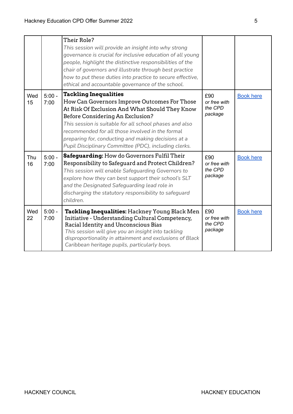|           |                  | Their Role?<br>This session will provide an insight into why strong<br>governance is crucial for inclusive education of all young<br>people, highlight the distinctive responsibilities of the<br>chair of governors and illustrate through best practice<br>how to put these duties into practice to secure effective,<br>ethical and accountable governance of the school.                      |                                           |                  |
|-----------|------------------|---------------------------------------------------------------------------------------------------------------------------------------------------------------------------------------------------------------------------------------------------------------------------------------------------------------------------------------------------------------------------------------------------|-------------------------------------------|------------------|
| Wed<br>15 | $5:00 -$<br>7:00 | <b>Tackling Inequalities</b><br>How Can Governors Improve Outcomes For Those<br>At Risk Of Exclusion And What Should They Know<br>Before Considering An Exclusion?<br>This session is suitable for all school phases and also<br>recommended for all those involved in the formal<br>preparing for, conducting and making decisions at a<br>Pupil Disciplinary Committee (PDC), including clerks. | £90<br>or free with<br>the CPD<br>package | <b>Book here</b> |
| Thu<br>16 | $5:00 -$<br>7:00 | <b>Safeguarding:</b> How do Governors Fulfil Their<br>Responsibility to Safeguard and Protect Children?<br>This session will enable Safeguarding Governors to<br>explore how they can best support their school's SLT<br>and the Designated Safeguarding lead role in<br>discharging the statutory responsibility to safeguard<br>children.                                                       | £90<br>or free with<br>the CPD<br>package | <b>Book here</b> |
| Wed<br>22 | $5:00 -$<br>7:00 | Tackling Inequalities: Hackney Young Black Men<br>Initiative - Understanding Cultural Competency,<br>Racial Identity and Unconscious Bias<br>This session will give you an insight into tackling<br>disproportionality in attainment and exclusions of Black<br>Caribbean heritage pupils, particularly boys.                                                                                     | £90<br>or free with<br>the CPD<br>package | <b>Book here</b> |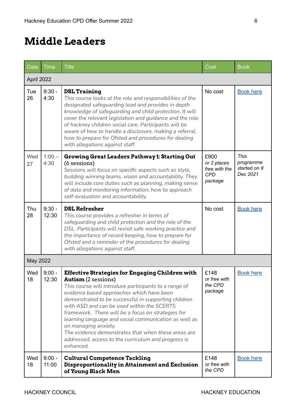### <span id="page-6-0"></span>**Middle Leaders**

| <b>Date</b> | <b>Time</b>       | <b>Title</b>                                                                                                                                                                                                                                                                                                                                                                                                                                                                                                                                                       | Cost                                                          | <b>Book</b>                                          |
|-------------|-------------------|--------------------------------------------------------------------------------------------------------------------------------------------------------------------------------------------------------------------------------------------------------------------------------------------------------------------------------------------------------------------------------------------------------------------------------------------------------------------------------------------------------------------------------------------------------------------|---------------------------------------------------------------|------------------------------------------------------|
| April 2022  |                   |                                                                                                                                                                                                                                                                                                                                                                                                                                                                                                                                                                    |                                                               |                                                      |
| Tue<br>26   | $9:30 -$<br>4:30  | <b>DSL Training</b><br>This course looks at the role and responsibilities of the<br>designated safeguarding lead and provides in depth<br>knowledge of safeguarding and child protection. It will<br>cover the relevant legislation and guidance and the role<br>of hackney children social care. Participants will be<br>aware of how to handle a disclosure, making a referral,<br>how to prepare for Ofsted and procedures for dealing<br>with allegations against staff.                                                                                       | No cost                                                       | <b>Book here</b>                                     |
| Wed<br>27   | $1:00 -$<br>4:30  | <b>Growing Great Leaders Pathway 1: Starting Out</b><br>(6 sessions)<br>Sessions will focus on specific aspects such as style,<br>building winning teams, vision and accountability. They<br>will include core duties such as planning, making sense<br>of data and monitoring information, how to approach<br>self-evaluation and accountability.                                                                                                                                                                                                                 | £900<br>or 2 places<br>free with the<br><b>CPD</b><br>package | <b>This</b><br>programme<br>started on 8<br>Dec 2021 |
| Thu<br>28   | $9:30 -$<br>12:30 | <b>DSL Refresher</b><br>This course provides a refresher in terms of<br>safeguarding and child protection and the role of the<br>DSL. Participants will revisit safe working practice and<br>the importance of record keeping, how to prepare for<br>Ofsted and a reminder of the procedures for dealing<br>with allegations against staff.                                                                                                                                                                                                                        | No cost                                                       | <b>Book here</b>                                     |
| May 2022    |                   |                                                                                                                                                                                                                                                                                                                                                                                                                                                                                                                                                                    |                                                               |                                                      |
| Wed<br>18   | $9:00 -$<br>12:30 | <b>Effective Strategies for Engaging Children with</b><br><b>Autism</b> (2 sessions)<br>This course will introduce participants to a range of<br>evidence based approaches which have been<br>demonstrated to be successful in supporting children<br>with ASD and can be used within the SCERTS<br>framework. There will be a focus on strategies for<br>learning language and social communication as well as<br>on managing anxiety.<br>The evidence demonstrates that when these areas are<br>addressed, access to the curriculum and progress is<br>enhanced. | £148<br>or free with<br>the CPD<br>package                    | <b>Book here</b>                                     |
| Wed<br>18   | $9:00 -$<br>11:00 | <b>Cultural Competence Tackling</b><br>Disproportionality in Attainment and Exclusion<br>of Young Black Men                                                                                                                                                                                                                                                                                                                                                                                                                                                        | £148<br>or free with<br>the CPD                               | <b>Book here</b>                                     |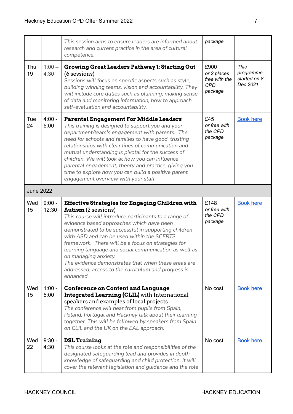|                  |                   | This session aims to ensure leaders are informed about<br>research and current practice in the area of cultural<br>competence.                                                                                                                                                                                                                                                                                                                                                                                                                                     | package                                                       |                                                      |
|------------------|-------------------|--------------------------------------------------------------------------------------------------------------------------------------------------------------------------------------------------------------------------------------------------------------------------------------------------------------------------------------------------------------------------------------------------------------------------------------------------------------------------------------------------------------------------------------------------------------------|---------------------------------------------------------------|------------------------------------------------------|
| Thu<br>19        | $1:00 -$<br>4:30  | <b>Growing Great Leaders Pathway 1: Starting Out</b><br>(6 sessions)<br>Sessions will focus on specific aspects such as style,<br>building winning teams, vision and accountability. They<br>will include core duties such as planning, making sense<br>of data and monitoring information, how to approach<br>self-evaluation and accountability.                                                                                                                                                                                                                 | £900<br>or 2 places<br>free with the<br><b>CPD</b><br>package | <b>This</b><br>programme<br>started on 8<br>Dec 2021 |
| Tue<br>24        | $4:00 -$<br>5:00  | <b>Parental Engagement For Middle Leaders</b><br>This training is designed to support you and your<br>department/team's engagement with parents. The<br>need for schools and families to have good, trusting<br>relationships with clear lines of communication and<br>mutual understanding is pivotal for the success of<br>children. We will look at how you can influence<br>parental engagement, theory and practice, giving you<br>time to explore how you can build a positive parent<br>engagement overview with your staff.                                | £45<br>or free with<br>the CPD<br>package                     | <b>Book here</b>                                     |
| <b>June 2022</b> |                   |                                                                                                                                                                                                                                                                                                                                                                                                                                                                                                                                                                    |                                                               |                                                      |
| Wed<br>15        | $9:00 -$<br>12:30 | <b>Effective Strategies for Engaging Children with</b><br><b>Autism</b> (2 sessions)<br>This course will introduce participants to a range of<br>evidence based approaches which have been<br>demonstrated to be successful in supporting children<br>with ASD and can be used within the SCERTS<br>framework. There will be a focus on strategies for<br>learning language and social communication as well as<br>on managing anxiety.<br>The evidence demonstrates that when these areas are<br>addressed, access to the curriculum and progress is<br>enhanced. | £148<br>or free with<br>the CPD<br>package                    | <b>Book here</b>                                     |
| Wed<br>15        | $1:00 -$<br>5:00  | <b>Conference on Content and Language</b><br><b>Integrated Learning (CLIL)</b> with International<br>speakers and examples of local projects<br>The conference will hear from pupils from Spain,<br>Poland, Portugal and Hackney talk about their learning<br>together. This will be followed by speakers from Spain<br>on CLIL and the UK on the EAL approach.                                                                                                                                                                                                    | No cost                                                       | <b>Book here</b>                                     |
| Wed<br>22        | $9:30 -$<br>4:30  | <b>DSL Training</b><br>This course looks at the role and responsibilities of the<br>designated safeguarding lead and provides in depth<br>knowledge of safeguarding and child protection. It will                                                                                                                                                                                                                                                                                                                                                                  | No cost                                                       | <b>Book here</b>                                     |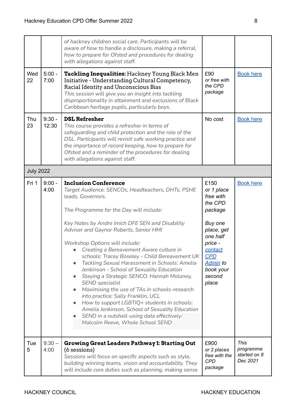|                  |                   | of hackney children social care. Participants will be<br>aware of how to handle a disclosure, making a referral,<br>how to prepare for Ofsted and procedures for dealing<br>with allegations against staff.                                                                                                                                                                                                                                                                                                                                                                                                                                                                                                                                                                                                                                             |                                                                                                                                                                                   |                                               |
|------------------|-------------------|---------------------------------------------------------------------------------------------------------------------------------------------------------------------------------------------------------------------------------------------------------------------------------------------------------------------------------------------------------------------------------------------------------------------------------------------------------------------------------------------------------------------------------------------------------------------------------------------------------------------------------------------------------------------------------------------------------------------------------------------------------------------------------------------------------------------------------------------------------|-----------------------------------------------------------------------------------------------------------------------------------------------------------------------------------|-----------------------------------------------|
| Wed<br>22        | $5:00 -$<br>7:00  | Tackling Inequalities: Hackney Young Black Men<br>Initiative - Understanding Cultural Competency,<br>Racial Identity and Unconscious Bias<br>This session will give you an insight into tackling<br>disproportionality in attainment and exclusions of Black<br>Caribbean heritage pupils, particularly boys.                                                                                                                                                                                                                                                                                                                                                                                                                                                                                                                                           | £90<br>or free with<br>the CPD<br>package                                                                                                                                         | <b>Book here</b>                              |
| Thu<br>23        | $9:30 -$<br>12:30 | <b>DSL Refresher</b><br>This course provides a refresher in terms of<br>safeguarding and child protection and the role of the<br>DSL. Participants will revisit safe working practice and<br>the importance of record keeping, how to prepare for<br>Ofsted and a reminder of the procedures for dealing<br>with allegations against staff.                                                                                                                                                                                                                                                                                                                                                                                                                                                                                                             | No cost                                                                                                                                                                           | <b>Book here</b>                              |
| <b>July 2022</b> |                   |                                                                                                                                                                                                                                                                                                                                                                                                                                                                                                                                                                                                                                                                                                                                                                                                                                                         |                                                                                                                                                                                   |                                               |
| Fri 1            | $9:00 -$<br>4:00  | <b>Inclusion Conference</b><br>Target Audience: SENCOs, Headteachers, DHTs, PSHE<br>leads, Governors.<br>The Programme for the Day will include:<br>Key Notes by Andre Imich DFE SEN and Disability<br>Adviser and Gaynor Roberts, Senior HMI<br>Workshop Options will include:<br>Creating a Bereavement Aware culture in<br>schools: Tracey Boseley - Child Bereavement UK<br>Tackling Sexual Harassment in Schools: Amelia<br>Jenkinson - School of Sexuality Education<br>Staying a Strategic SENCO: Hannah Moloney,<br><b>SEND</b> specialist<br>Maximising the use of TAs in schools-research<br>$\bullet$<br>into practice: Sally Franklin, UCL<br>How to support LGBTIQ+ students in schools:<br>$\bullet$<br>Amelia Jenkinson, School of Sexuality Education<br>SEND in a nutshell-using data effectively:<br>Malcolm Reeve, Whole School SEND | £150<br>or 1 place<br>free with<br>the CPD<br>package<br>Buy one<br>place, get<br>one half<br>price -<br>contact<br><u>CPD</u><br><u>Admin</u> to<br>book your<br>second<br>place | <b>Book here</b>                              |
| Tue<br>5         | $9:30 -$<br>4:00  | Growing Great Leaders Pathway 1: Starting Out<br>(6 sessions)<br>Sessions will focus on specific aspects such as style,<br>building winning teams, vision and accountability. They<br>will include core duties such as planning, making sense                                                                                                                                                                                                                                                                                                                                                                                                                                                                                                                                                                                                           | £900<br>or 2 places<br>free with the<br><b>CPD</b><br>package                                                                                                                     | This<br>programme<br>started on 8<br>Dec 2021 |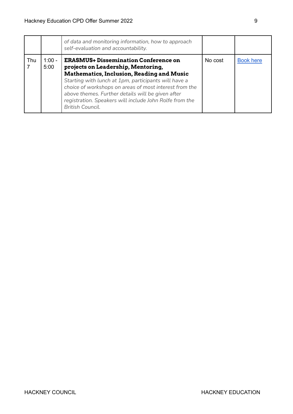|     |                  | of data and monitoring information, how to approach<br>self-evaluation and accountability.                                                                                                                                                                                                                                                                                                  |         |                  |
|-----|------------------|---------------------------------------------------------------------------------------------------------------------------------------------------------------------------------------------------------------------------------------------------------------------------------------------------------------------------------------------------------------------------------------------|---------|------------------|
| Thu | $1:00 -$<br>5:00 | <b>ERASMUS+ Dissemination Conference on</b><br>projects on Leadership, Mentoring,<br><b>Mathematics, Inclusion, Reading and Music</b><br>Starting with lunch at 1pm, participants will have a<br>choice of workshops on areas of most interest from the<br>above themes. Further details will be given after<br>registration. Speakers will include John Rolfe from the<br>British Council. | No cost | <b>Book here</b> |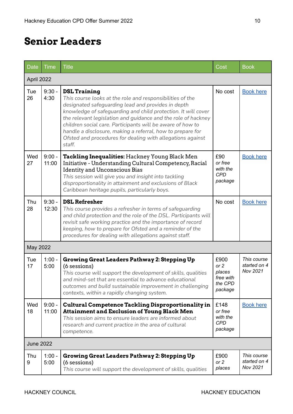### <span id="page-10-0"></span>**Senior Leaders**

| Date             | <b>Time</b>       | <b>Title</b>                                                                                                                                                                                                                                                                                                                                                                                                                                                                 | Cost                                                        | <b>Book</b>                             |
|------------------|-------------------|------------------------------------------------------------------------------------------------------------------------------------------------------------------------------------------------------------------------------------------------------------------------------------------------------------------------------------------------------------------------------------------------------------------------------------------------------------------------------|-------------------------------------------------------------|-----------------------------------------|
| April 2022       |                   |                                                                                                                                                                                                                                                                                                                                                                                                                                                                              |                                                             |                                         |
| Tue<br>26        | $9:30 -$<br>4:30  | <b>DSL Training</b><br>This course looks at the role and responsibilities of the<br>designated safeguarding lead and provides in depth<br>knowledge of safeguarding and child protection. It will cover<br>the relevant legislation and guidance and the role of hackney<br>children social care. Participants will be aware of how to<br>handle a disclosure, making a referral, how to prepare for<br>Ofsted and procedures for dealing with allegations against<br>staff. | No cost                                                     | <b>Book here</b>                        |
| Wed<br>27        | $9:00 -$<br>11:00 | Tackling Inequalities: Hackney Young Black Men<br>Initiative - Understanding Cultural Competency, Racial<br><b>Identity and Unconscious Bias</b><br>This session will give you and insight into tackling<br>disproportionality in attainment and exclusions of Black<br>Caribbean heritage pupils, particularly boys.                                                                                                                                                        | £90<br>or free<br>with the<br>CPD<br>package                | <b>Book here</b>                        |
| Thu<br>28        | $9:30 -$<br>12:30 | <b>DSL Refresher</b><br>This course provides a refresher in terms of safeguarding<br>and child protection and the role of the DSL. Participants will<br>revisit safe working practice and the importance of record<br>keeping, how to prepare for Ofsted and a reminder of the<br>procedures for dealing with allegations against staff.                                                                                                                                     | No cost                                                     | <b>Book here</b>                        |
| May 2022         |                   |                                                                                                                                                                                                                                                                                                                                                                                                                                                                              |                                                             |                                         |
| Tue<br>17        | $1:00 -$<br>5:00  | <b>Growing Great Leaders Pathway 2: Stepping Up</b><br>(6 sessions)<br>This course will support the development of skills, qualities<br>and mind-set that are essential to advance educational<br>outcomes and build sustainable improvement in challenging<br>contexts, within a rapidly changing system.                                                                                                                                                                   | £900<br>or $2$<br>places<br>free with<br>the CPD<br>package | This course<br>started on 4<br>Nov 2021 |
| Wed<br>18        | $9:00 -$<br>11:00 | <b>Cultural Competence Tackling Disproportionality in</b><br><b>Attainment and Exclusion of Young Black Men</b><br>This session aims to ensure leaders are informed about<br>research and current practice in the area of cultural<br>competence.                                                                                                                                                                                                                            | £148<br>or free<br>with the<br>CPD<br>package               | <b>Book here</b>                        |
| <b>June 2022</b> |                   |                                                                                                                                                                                                                                                                                                                                                                                                                                                                              |                                                             |                                         |
| Thu<br>9         | $1:00 -$<br>5:00  | Growing Great Leaders Pathway 2: Stepping Up<br>(6 sessions)<br>This course will support the development of skills, qualities                                                                                                                                                                                                                                                                                                                                                | £900<br>or $2$<br>places                                    | This course<br>started on 4<br>Nov 2021 |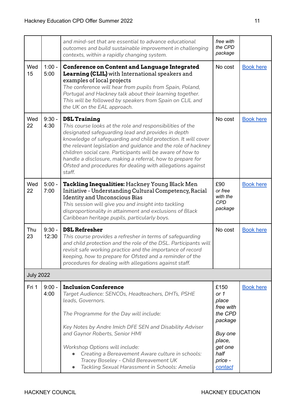|                  |                   | and mind-set that are essential to advance educational<br>outcomes and build sustainable improvement in challenging<br>contexts, within a rapidly changing system.                                                                                                                                                                                                                                                                                                           | free with<br>the CPD<br>package                                                                                        |                  |
|------------------|-------------------|------------------------------------------------------------------------------------------------------------------------------------------------------------------------------------------------------------------------------------------------------------------------------------------------------------------------------------------------------------------------------------------------------------------------------------------------------------------------------|------------------------------------------------------------------------------------------------------------------------|------------------|
| Wed<br>15        | $1:00 -$<br>5:00  | <b>Conference on Content and Language Integrated</b><br><b>Learning (CLIL)</b> with International speakers and<br>examples of local projects<br>The conference will hear from pupils from Spain, Poland,<br>Portugal and Hackney talk about their learning together.<br>This will be followed by speakers from Spain on CLIL and<br>the UK on the EAL approach.                                                                                                              | No cost                                                                                                                | <b>Book here</b> |
| Wed<br>22        | $9:30 -$<br>4:30  | <b>DSL Training</b><br>This course looks at the role and responsibilities of the<br>designated safeguarding lead and provides in depth<br>knowledge of safeguarding and child protection. It will cover<br>the relevant legislation and guidance and the role of hackney<br>children social care. Participants will be aware of how to<br>handle a disclosure, making a referral, how to prepare for<br>Ofsted and procedures for dealing with allegations against<br>staff. | No cost                                                                                                                | <b>Book here</b> |
| Wed<br>22        | $5:00 -$<br>7:00  | Tackling Inequalities: Hackney Young Black Men<br>Initiative - Understanding Cultural Competency, Racial<br><b>Identity and Unconscious Bias</b><br>This session will give you and insight into tackling<br>disproportionality in attainment and exclusions of Black<br>Caribbean heritage pupils, particularly boys.                                                                                                                                                        | £90<br>or free<br>with the<br><b>CPD</b><br>package                                                                    | <b>Book here</b> |
| Thu<br>23        | $9:30 -$<br>12:30 | <b>DSL Refresher</b><br>This course provides a refresher in terms of safeguarding<br>and child protection and the role of the DSL. Participants will<br>revisit safe working practice and the importance of record<br>keeping, how to prepare for Ofsted and a reminder of the<br>procedures for dealing with allegations against staff.                                                                                                                                     | No cost                                                                                                                | <b>Book here</b> |
| <b>July 2022</b> |                   |                                                                                                                                                                                                                                                                                                                                                                                                                                                                              |                                                                                                                        |                  |
| Fri 1            | $9:00 -$<br>4:00  | <b>Inclusion Conference</b><br>Target Audience: SENCOs, Headteachers, DHTs, PSHE<br>leads, Governors.<br>The Programme for the Day will include:<br>Key Notes by Andre Imich DFE SEN and Disability Adviser<br>and Gaynor Roberts, Senior HMI<br>Workshop Options will include:<br>Creating a Bereavement Aware culture in schools:<br>Tracey Boseley - Child Bereavement UK<br>Tackling Sexual Harassment in Schools: Amelia                                                | £150<br>or 1<br>place<br>free with<br>the CPD<br>package<br>Buy one<br>place,<br>get one<br>half<br>price -<br>contact | <b>Book here</b> |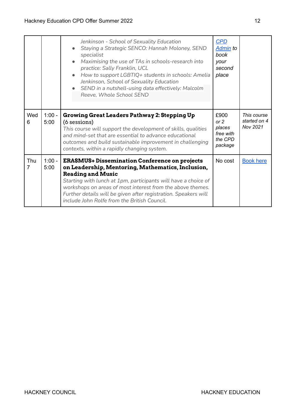|                       |                  | Jenkinson - School of Sexuality Education<br>Staying a Strategic SENCO: Hannah Moloney, SEND<br>specialist<br>Maximising the use of TAs in schools-research into<br>practice: Sally Franklin, UCL<br>How to support LGBTIQ+ students in schools: Amelia<br>Jenkinson, School of Sexuality Education<br>SEND in a nutshell-using data effectively: Malcolm<br>Reeve, Whole School SEND    | <b>CPD</b><br>Admin to<br>book<br>your<br>second<br>place   |                                         |
|-----------------------|------------------|------------------------------------------------------------------------------------------------------------------------------------------------------------------------------------------------------------------------------------------------------------------------------------------------------------------------------------------------------------------------------------------|-------------------------------------------------------------|-----------------------------------------|
| Wed<br>6              | $1:00 -$<br>5:00 | <b>Growing Great Leaders Pathway 2: Stepping Up</b><br>(6 sessions)<br>This course will support the development of skills, qualities<br>and mind-set that are essential to advance educational<br>outcomes and build sustainable improvement in challenging<br>contexts, within a rapidly changing system.                                                                               | £900<br>or $2$<br>places<br>free with<br>the CPD<br>package | This course<br>started on 4<br>Nov 2021 |
| Thu<br>$\overline{7}$ | $1:00 -$<br>5:00 | <b>ERASMUS+ Dissemination Conference on projects</b><br>on Leadership, Mentoring, Mathematics, Inclusion,<br><b>Reading and Music</b><br>Starting with lunch at 1pm, participants will have a choice of<br>workshops on areas of most interest from the above themes.<br>Further details will be given after registration. Speakers will<br>include John Rolfe from the British Council. | No cost                                                     | <b>Book here</b>                        |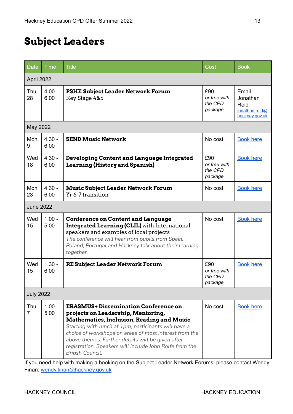# <span id="page-13-0"></span>**Subject Leaders**

| <b>Date</b>           | <b>Time</b>      | <b>Title</b>                                                                                                                                                                                                                                                                                                                                                                                | Cost                                      | <b>Book</b>                                                   |  |  |
|-----------------------|------------------|---------------------------------------------------------------------------------------------------------------------------------------------------------------------------------------------------------------------------------------------------------------------------------------------------------------------------------------------------------------------------------------------|-------------------------------------------|---------------------------------------------------------------|--|--|
| April 2022            |                  |                                                                                                                                                                                                                                                                                                                                                                                             |                                           |                                                               |  |  |
| Thu<br>28             | $4:00 -$<br>6:00 | <b>PSHE Subject Leader Network Forum</b><br>Key Stage 4&5                                                                                                                                                                                                                                                                                                                                   | £90<br>or free with<br>the CPD<br>package | Email<br>Jonathan<br>Reid<br>jonathan.reid@<br>hackney.gov.uk |  |  |
| May 2022              |                  |                                                                                                                                                                                                                                                                                                                                                                                             |                                           |                                                               |  |  |
| Mon<br>9              | $4:30 -$<br>6:00 | <b>SEND Music Network</b>                                                                                                                                                                                                                                                                                                                                                                   | No cost                                   | <b>Book here</b>                                              |  |  |
| Wed<br>18             | $4:30 -$<br>6:00 | Developing Content and Language Integrated<br><b>Learning (History and Spanish)</b>                                                                                                                                                                                                                                                                                                         | £90<br>or free with<br>the CPD<br>package | <b>Book here</b>                                              |  |  |
| Mon<br>23             | $4:30 -$<br>6:00 | <b>Music Subject Leader Network Forum</b><br>Yr 6-7 transition                                                                                                                                                                                                                                                                                                                              | No cost                                   | <b>Book here</b>                                              |  |  |
| <b>June 2022</b>      |                  |                                                                                                                                                                                                                                                                                                                                                                                             |                                           |                                                               |  |  |
| Wed<br>15             | $1:00 -$<br>5:00 | <b>Conference on Content and Language</b><br><b>Integrated Learning (CLIL)</b> with International<br>speakers and examples of local projects<br>The conference will hear from pupils from Spain,<br>Poland, Portugal and Hackney talk about their learning<br>together.                                                                                                                     | No cost                                   | <b>Book here</b>                                              |  |  |
| Wed<br>15             | $1:30 -$<br>6:00 | <b>RE Subject Leader Network Forum</b>                                                                                                                                                                                                                                                                                                                                                      | £90<br>or free with<br>the CPD<br>package | <b>Book here</b>                                              |  |  |
| <b>July 2022</b>      |                  |                                                                                                                                                                                                                                                                                                                                                                                             |                                           |                                                               |  |  |
| Thu<br>$\overline{7}$ | $1:00 -$<br>5:00 | <b>ERASMUS+ Dissemination Conference on</b><br>projects on Leadership, Mentoring,<br><b>Mathematics, Inclusion, Reading and Music</b><br>Starting with lunch at 1pm, participants will have a<br>choice of workshops on areas of most interest from the<br>above themes. Further details will be given after<br>registration. Speakers will include John Rolfe from the<br>British Council. | No cost                                   | <b>Book here</b>                                              |  |  |

If you need help with making a booking on the Subject Leader Network Forums, please contact Wendy Finan: [wendy.finan@hackney.gov.uk](mailto:wendy.finan@Hackney.gov.uk)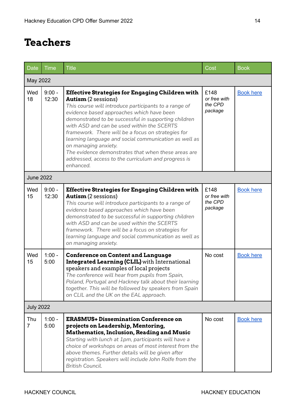#### <span id="page-14-0"></span>**Teachers**

| Date                  | <b>Time</b>       | <b>Title</b>                                                                                                                                                                                                                                                                                                                                                                                                                                                                                                                                                       | Cost                                       | <b>Book</b>      |  |  |
|-----------------------|-------------------|--------------------------------------------------------------------------------------------------------------------------------------------------------------------------------------------------------------------------------------------------------------------------------------------------------------------------------------------------------------------------------------------------------------------------------------------------------------------------------------------------------------------------------------------------------------------|--------------------------------------------|------------------|--|--|
| May 2022              |                   |                                                                                                                                                                                                                                                                                                                                                                                                                                                                                                                                                                    |                                            |                  |  |  |
| Wed<br>18             | $9:00 -$<br>12:30 | <b>Effective Strategies for Engaging Children with</b><br><b>Autism</b> (2 sessions)<br>This course will introduce participants to a range of<br>evidence based approaches which have been<br>demonstrated to be successful in supporting children<br>with ASD and can be used within the SCERTS<br>framework. There will be a focus on strategies for<br>learning language and social communication as well as<br>on managing anxiety.<br>The evidence demonstrates that when these areas are<br>addressed, access to the curriculum and progress is<br>enhanced. | £148<br>or free with<br>the CPD<br>package | <b>Book here</b> |  |  |
| <b>June 2022</b>      |                   |                                                                                                                                                                                                                                                                                                                                                                                                                                                                                                                                                                    |                                            |                  |  |  |
| Wed<br>15             | $9:00 -$<br>12:30 | <b>Effective Strategies for Engaging Children with</b><br><b>Autism</b> (2 sessions)<br>This course will introduce participants to a range of<br>evidence based approaches which have been<br>demonstrated to be successful in supporting children<br>with ASD and can be used within the SCERTS<br>framework. There will be a focus on strategies for<br>learning language and social communication as well as<br>on managing anxiety.                                                                                                                            | £148<br>or free with<br>the CPD<br>package | <b>Book here</b> |  |  |
| Wed<br>15             | $1:00 -$<br>5:00  | <b>Conference on Content and Language</b><br><b>Integrated Learning (CLIL)</b> with International<br>speakers and examples of local projects<br>The conference will hear from pupils from Spain,<br>Poland, Portugal and Hackney talk about their learning<br>together. This will be followed by speakers from Spain<br>on CLIL and the UK on the EAL approach.                                                                                                                                                                                                    | No cost                                    | <b>Book here</b> |  |  |
| <b>July 2022</b>      |                   |                                                                                                                                                                                                                                                                                                                                                                                                                                                                                                                                                                    |                                            |                  |  |  |
| Thu<br>$\overline{7}$ | $1:00 -$<br>5:00  | <b>ERASMUS+ Dissemination Conference on</b><br>projects on Leadership, Mentoring,<br><b>Mathematics, Inclusion, Reading and Music</b><br>Starting with lunch at 1pm, participants will have a<br>choice of workshops on areas of most interest from the<br>above themes. Further details will be given after<br>registration. Speakers will include John Rolfe from the<br>British Council.                                                                                                                                                                        | No cost                                    | <b>Book here</b> |  |  |